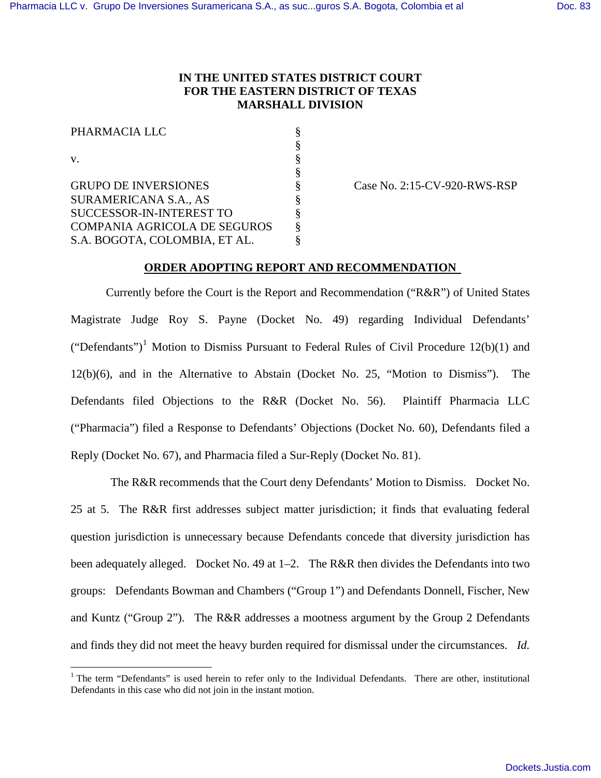## **IN THE UNITED STATES DISTRICT COURT FOR THE EASTERN DISTRICT OF TEXAS MARSHALL DIVISION**

| PHARMACIA LLC                       |  |
|-------------------------------------|--|
|                                     |  |
| V.                                  |  |
|                                     |  |
| <b>GRUPO DE INVERSIONES</b>         |  |
| <b>SURAMERICANA S.A., AS</b>        |  |
| SUCCESSOR-IN-INTEREST TO            |  |
| <b>COMPANIA AGRICOLA DE SEGUROS</b> |  |
| S.A. BOGOTA, COLOMBIA, ET AL.       |  |
|                                     |  |

 $\overline{a}$ 

Case No. 2:15-CV-920-RWS-RSP

## **ORDER ADOPTING REPORT AND RECOMMENDATION**

Currently before the Court is the Report and Recommendation ("R&R") of United States Magistrate Judge Roy S. Payne (Docket No. 49) regarding Individual Defendants' ("Defendants")<sup>1</sup> Motion to Dismiss Pursuant to Federal Rules of Civil Procedure 12(b)(1) and 12(b)(6), and in the Alternative to Abstain (Docket No. 25, "Motion to Dismiss"). The Defendants filed Objections to the R&R (Docket No. 56). Plaintiff Pharmacia LLC ("Pharmacia") filed a Response to Defendants' Objections (Docket No. 60), Defendants filed a Reply (Docket No. 67), and Pharmacia filed a Sur-Reply (Docket No. 81).

The R&R recommends that the Court deny Defendants' Motion to Dismiss. Docket No. 25 at 5. The R&R first addresses subject matter jurisdiction; it finds that evaluating federal question jurisdiction is unnecessary because Defendants concede that diversity jurisdiction has been adequately alleged. Docket No. 49 at 1–2. The R&R then divides the Defendants into two groups: Defendants Bowman and Chambers ("Group 1") and Defendants Donnell, Fischer, New and Kuntz ("Group 2"). The R&R addresses a mootness argument by the Group 2 Defendants and finds they did not meet the heavy burden required for dismissal under the circumstances. *Id.*

<sup>&</sup>lt;sup>1</sup> The term "Defendants" is used herein to refer only to the Individual Defendants. There are other, institutional Defendants in this case who did not join in the instant motion.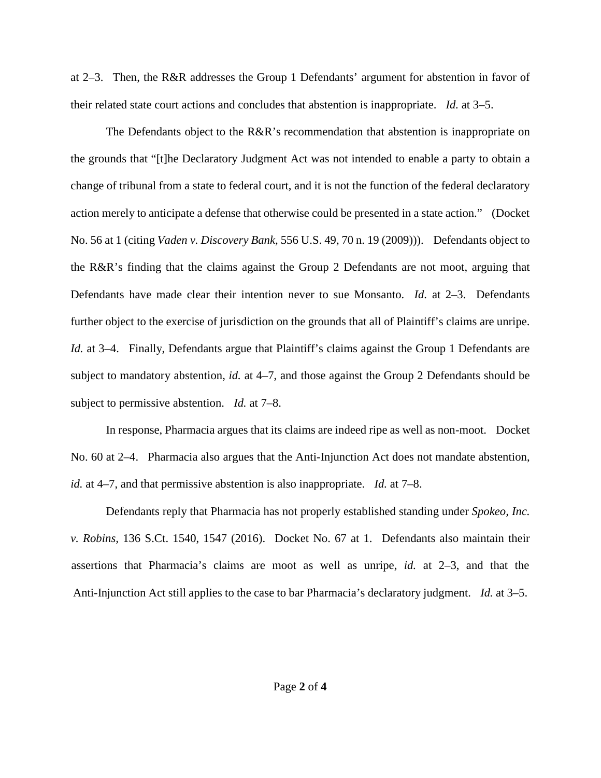at 2–3. Then, the R&R addresses the Group 1 Defendants' argument for abstention in favor of their related state court actions and concludes that abstention is inappropriate. *Id.* at 3–5.

The Defendants object to the  $R\&R$ 's recommendation that abstention is inappropriate on the grounds that "[t]he Declaratory Judgment Act was not intended to enable a party to obtain a change of tribunal from a state to federal court, and it is not the function of the federal declaratory action merely to anticipate a defense that otherwise could be presented in a state action." (Docket No. 56 at 1 (citing *Vaden v. Discovery Bank*, 556 U.S. 49, 70 n. 19 (2009))). Defendants object to the R&R's finding that the claims against the Group 2 Defendants are not moot, arguing that Defendants have made clear their intention never to sue Monsanto. *Id.* at 2–3. Defendants further object to the exercise of jurisdiction on the grounds that all of Plaintiff's claims are unripe. *Id.* at 3–4. Finally, Defendants argue that Plaintiff's claims against the Group 1 Defendants are subject to mandatory abstention, *id.* at 4–7, and those against the Group 2 Defendants should be subject to permissive abstention. *Id.* at 7–8.

In response, Pharmacia argues that its claims are indeed ripe as well as non-moot. Docket No. 60 at 2–4. Pharmacia also argues that the Anti-Injunction Act does not mandate abstention, *id.* at 4–7, and that permissive abstention is also inappropriate. *Id.* at 7–8.

Defendants reply that Pharmacia has not properly established standing under *Spokeo, Inc. v. Robins,* 136 S.Ct. 1540, 1547 (2016). Docket No. 67 at 1. Defendants also maintain their assertions that Pharmacia's claims are moot as well as unripe, *id.* at 2–3, and that the Anti-Injunction Act still applies to the case to bar Pharmacia's declaratory judgment. *Id.* at 3–5.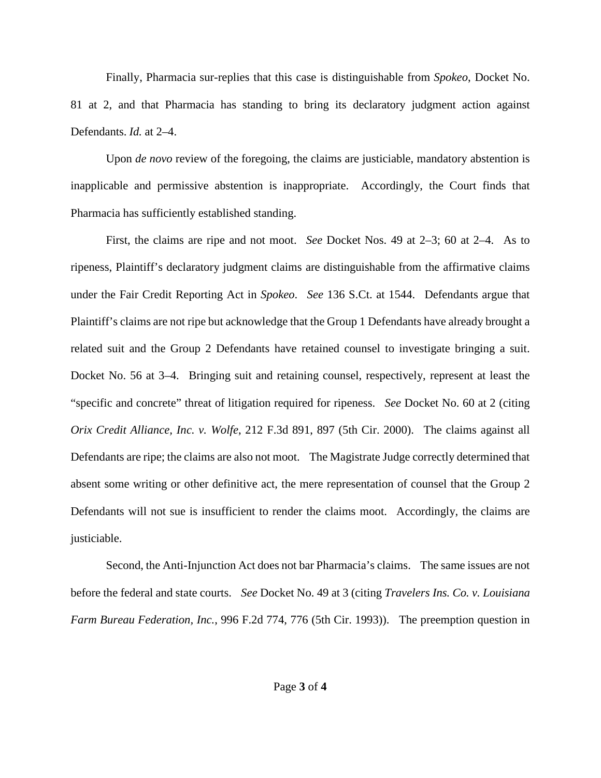Finally, Pharmacia sur-replies that this case is distinguishable from *Spokeo*, Docket No. 81 at 2, and that Pharmacia has standing to bring its declaratory judgment action against Defendants. *Id.* at 2–4.

Upon *de novo* review of the foregoing, the claims are justiciable, mandatory abstention is inapplicable and permissive abstention is inappropriate. Accordingly, the Court finds that Pharmacia has sufficiently established standing.

First, the claims are ripe and not moot. *See* Docket Nos. 49 at 2–3; 60 at 2–4. As to ripeness, Plaintiff's declaratory judgment claims are distinguishable from the affirmative claims under the Fair Credit Reporting Act in *Spokeo*. *See* 136 S.Ct. at 1544. Defendants argue that Plaintiff's claims are not ripe but acknowledge that the Group 1 Defendants have already brought a related suit and the Group 2 Defendants have retained counsel to investigate bringing a suit. Docket No. 56 at 3–4. Bringing suit and retaining counsel, respectively, represent at least the "specific and concrete" threat of litigation required for ripeness. *See* Docket No. 60 at 2 (citing *Orix Credit Alliance, Inc. v. Wolfe*, 212 F.3d 891, 897 (5th Cir. 2000). The claims against all Defendants are ripe; the claims are also not moot. The Magistrate Judge correctly determined that absent some writing or other definitive act, the mere representation of counsel that the Group 2 Defendants will not sue is insufficient to render the claims moot. Accordingly, the claims are justiciable.

Second, the Anti-Injunction Act does not bar Pharmacia's claims. The same issues are not before the federal and state courts. *See* Docket No. 49 at 3 (citing *Travelers Ins. Co. v. Louisiana Farm Bureau Federation, Inc.*, 996 F.2d 774, 776 (5th Cir. 1993)). The preemption question in